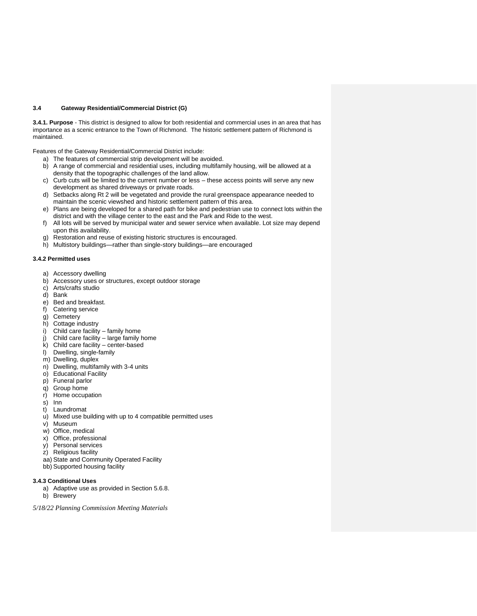# **3.4 Gateway Residential/Commercial District (G)**

**3.4.1. Purpose** - This district is designed to allow for both residential and commercial uses in an area that has importance as a scenic entrance to the Town of Richmond. The historic settlement pattern of Richmond is maintained.

Features of the Gateway Residential/Commercial District include:

- a) The features of commercial strip development will be avoided.
- b) A range of commercial and residential uses, including multifamily housing, will be allowed at a density that the topographic challenges of the land allow.
- c) Curb cuts will be limited to the current number or less these access points will serve any new development as shared driveways or private roads.
- d) Setbacks along Rt 2 will be vegetated and provide the rural greenspace appearance needed to maintain the scenic viewshed and historic settlement pattern of this area.
- e) Plans are being developed for a shared path for bike and pedestrian use to connect lots within the district and with the village center to the east and the Park and Ride to the west.
- f) All lots will be served by municipal water and sewer service when available. Lot size may depend upon this availability.
- g) Restoration and reuse of existing historic structures is encouraged.
- h) Multistory buildings—rather than single-story buildings—are encouraged

#### **3.4.2 Permitted uses**

- a) Accessory dwelling
- b) Accessory uses or structures, except outdoor storage
- c) Arts/crafts studio
- d) Bank
- e) Bed and breakfast.
- f) Catering service
- g) Cemetery
- h) Cottage industry
- i) Child care facility family home
- j) Child care facility large family home
- k) Child care facility center-based
- l) Dwelling, single-family
- m) Dwelling, duplex
- n) Dwelling, multifamily with 3-4 units
- o) Educational Facility
- p) Funeral parlor
- q) Group home
- r) Home occupation
- s) Inn
- t) Laundromat
- u) Mixed use building with up to 4 compatible permitted uses
- v) Museum
- w) Office, medical
- x) Office, professional
- y) Personal services
- z) Religious facility
- aa) State and Community Operated Facility
- bb) Supported housing facility

### **3.4.3 Conditional Uses**

- a) Adaptive use as provided in Section 5.6.8.
- b) Brewery

*5/18/22 Planning Commission Meeting Materials*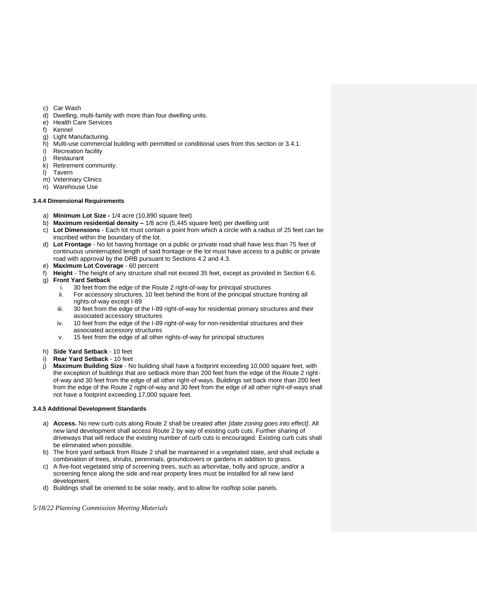- c) Car Wash<br>d) Dwelling, r
- Dwelling, multi-family with more than four dwelling units.
- e) Health Care Services
- f) Kennel
- g) Light Manufacturing.
- h) Multi-use commercial building with permitted or conditional uses from this section or 3.4.1.
- i) Recreation facility
- i) Restaurant
- k) Retirement community.
- l) Tavern
- m) Veterinary Clinics
- n) Warehouse Use

# **3.4.4 Dimensional Requirements**

- a) **Minimum Lot Size -** 1/4 acre (10,890 square feet)
- b) **Maximum residential density –** 1/8 acre (5,445 square feet) per dwelling unit
- c) **Lot Dimensions** Each lot must contain a point from which a circle with a radius of 25 feet can be inscribed within the boundary of the lot.
- d) **Lot Frontage** No lot having frontage on a public or private road shall have less than 75 feet of continuous uninterrupted length of said frontage or the lot must have access to a public or private road with approval by the DRB pursuant to Sections 4.2 and 4.3.
- e) **Maximum Lot Coverage** 60 percent
- f) **Height** The height of any structure shall not exceed 35 feet, except as provided in Section 6.6.
- g) **Front Yard Setback**
	- i. 30 feet from the edge of the Route 2 right-of-way for principal structures
	- ii. For accessory structures, 10 feet behind the front of the principal structure fronting all rights-of-way except I-89
	- iii. 30 feet from the edge of the I-89 right-of-way for residential primary structures and their associated accessory structures
	- iv. 10 feet from the edge of the I-89 right-of-way for non-residential structures and their associated accessory structures
	- v. 15 feet from the edge of all other rights-of-way for principal structures
- h) **Side Yard Setback** 10 feet
- i) **Rear Yard Setback** 10 feet
- j) **Maximum Building Size** No building shall have a footprint exceeding 10,000 square feet, with the exception of buildings that are setback more than 200 feet from the edge of the Route 2 rightof-way and 30 feet from the edge of all other right-of-ways. Buildings set back more than 200 feet from the edge of the Route 2 right-of-way and 30 feet from the edge of all other right-of-ways shall not have a footprint exceeding 17,000 square feet.

# **3.4.5 Additional Development Standards**

- a) **Access.** No new curb cuts along Route 2 shall be created after *[date zoning goes into effect]*. All new land development shall access Route 2 by way of existing curb cuts. Further sharing of driveways that will reduce the existing number of curb cuts is encouraged. Existing curb cuts shall be eliminated when possible.
- b) The front yard setback from Route 2 shall be maintained in a vegetated state, and shall include a combination of trees, shrubs, perennials, groundcovers or gardens in addition to grass.
- c) A five-foot vegetated strip of screening trees, such as arborvitae, holly and spruce, and/or a screening fence along the side and rear property lines must be installed for all new land development.
- d) Buildings shall be oriented to be solar ready, and to allow for rooftop solar panels.

*5/18/22 Planning Commission Meeting Materials*